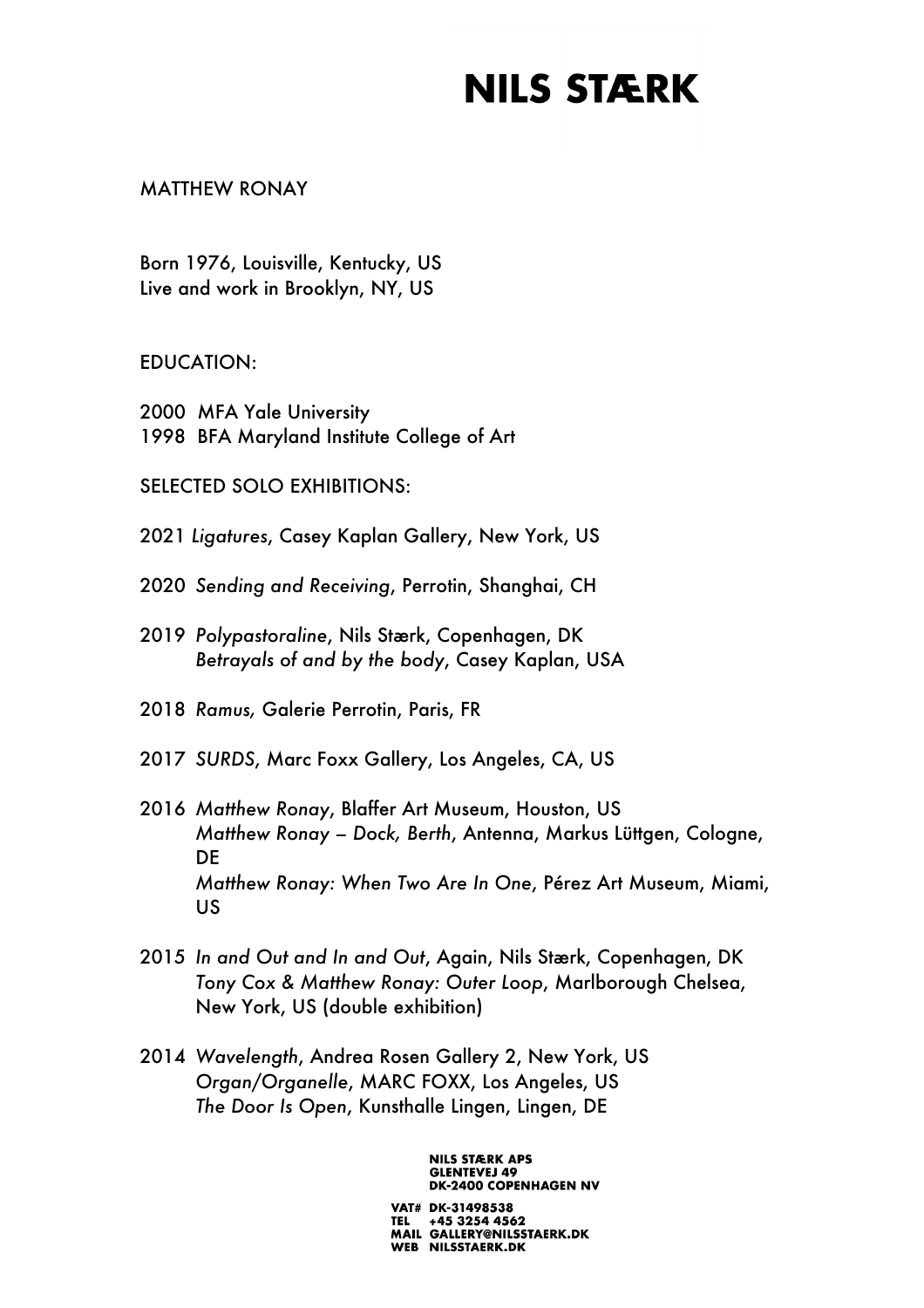### MATTHEW RONAY

Born 1976, Louisville, Kentucky, US Live and work in Brooklyn, NY, US

EDUCATION:

- 2000 MFA Yale University
- 1998 BFA Maryland Institute College of Art

SELECTED SOLO EXHIBITIONS:

2021 *Ligatures*, Casey Kaplan Gallery, New York, US

- 2020 *Sending and Receiving*, Perrotin, Shanghai, CH
- 2019 *Polypastoraline*, Nils Stærk, Copenhagen, DK *Betrayals of and by the body*, Casey Kaplan, USA

2018 *Ramus,* Galerie Perrotin, Paris, FR

2017 *SURDS*, Marc Foxx Gallery, Los Angeles, CA, US

- 2016 *Matthew Ronay*, Blaffer Art Museum, Houston, US *Matthew Ronay – Dock, Berth*, Antenna, Markus Lüttgen, Cologne, DE *Matthew Ronay: When Two Are In One*, Pérez Art Museum, Miami, US
- 2015 *In and Out and In and Out*, Again, Nils Stærk, Copenhagen, DK *Tony Cox & Matthew Ronay: Outer Loop*, Marlborough Chelsea, New York, US (double exhibition)
- 2014 *Wavelength*, Andrea Rosen Gallery 2, New York, US *Organ/Organelle*, MARC FOXX, Los Angeles, US *The Door Is Open*, Kunsthalle Lingen, Lingen, DE

**NILS STÆRK APS GLENTEVEJ 49 DK-2400 COPENHAGEN NV**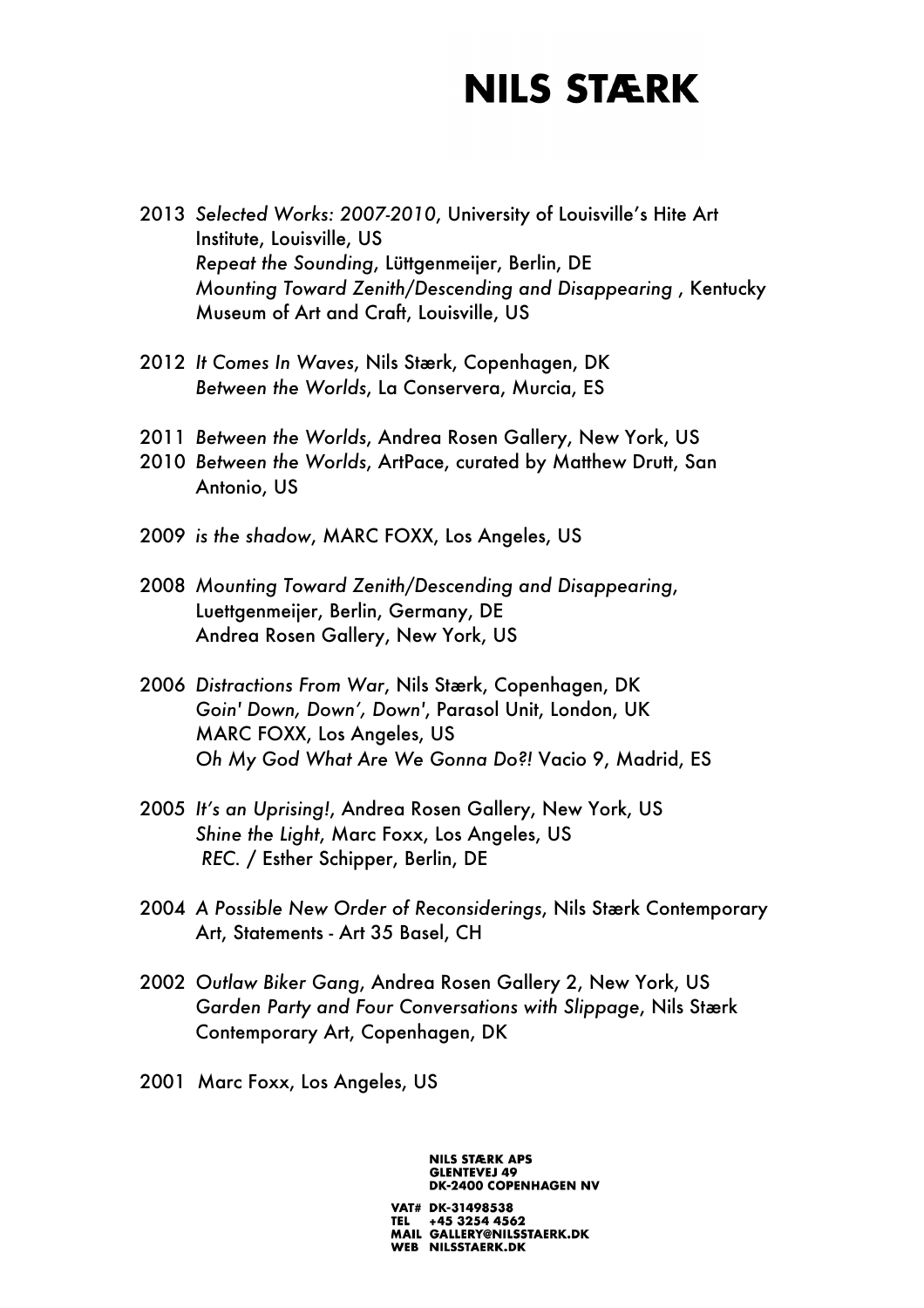- 2013 *Selected Works: 2007-2010*, University of Louisville's Hite Art Institute, Louisville, US *Repeat the Sounding*, Lüttgenmeijer, Berlin, DE *Mounting Toward Zenith/Descending and Disappearing* , Kentucky Museum of Art and Craft, Louisville, US
- 2012 *It Comes In Waves*, Nils Stærk, Copenhagen, DK *Between the Worlds*, La Conservera, Murcia, ES
- 2011 *Between the Worlds*, Andrea Rosen Gallery, New York, US
- 2010 *Between the Worlds*, ArtPace, curated by Matthew Drutt, San Antonio, US
- 2009 *is the shadow*, MARC FOXX, Los Angeles, US
- 2008 *Mounting Toward Zenith/Descending and Disappearing*, Luettgenmeijer, Berlin, Germany, DE Andrea Rosen Gallery, New York, US
- 2006 *Distractions From War*, Nils Stærk, Copenhagen, DK *Goin' Down, Down', Down'*, Parasol Unit, London, UK MARC FOXX, Los Angeles, US *Oh My God What Are We Gonna Do?!* Vacio 9, Madrid, ES
- 2005 *It's an Uprising!*, Andrea Rosen Gallery, New York, US *Shine the Light*, Marc Foxx, Los Angeles, US *REC.* / Esther Schipper, Berlin, DE
- 2004 *A Possible New Order of Reconsiderings*, Nils Stærk Contemporary Art, Statements - Art 35 Basel, CH
- 2002 *Outlaw Biker Gang*, Andrea Rosen Gallery 2, New York, US *Garden Party and Four Conversations with Slippage*, Nils Stærk Contemporary Art, Copenhagen, DK
- 2001 Marc Foxx, Los Angeles, US

**NILS STÆRK APS GLENTEVEJ 49 DK-2400 COPENHAGEN NV** VAT# DK-31498538 TEL +45 3254 4562<br>MAIL GALLERY@NILSSTAERK.DK WEB NILSSTAERK.DK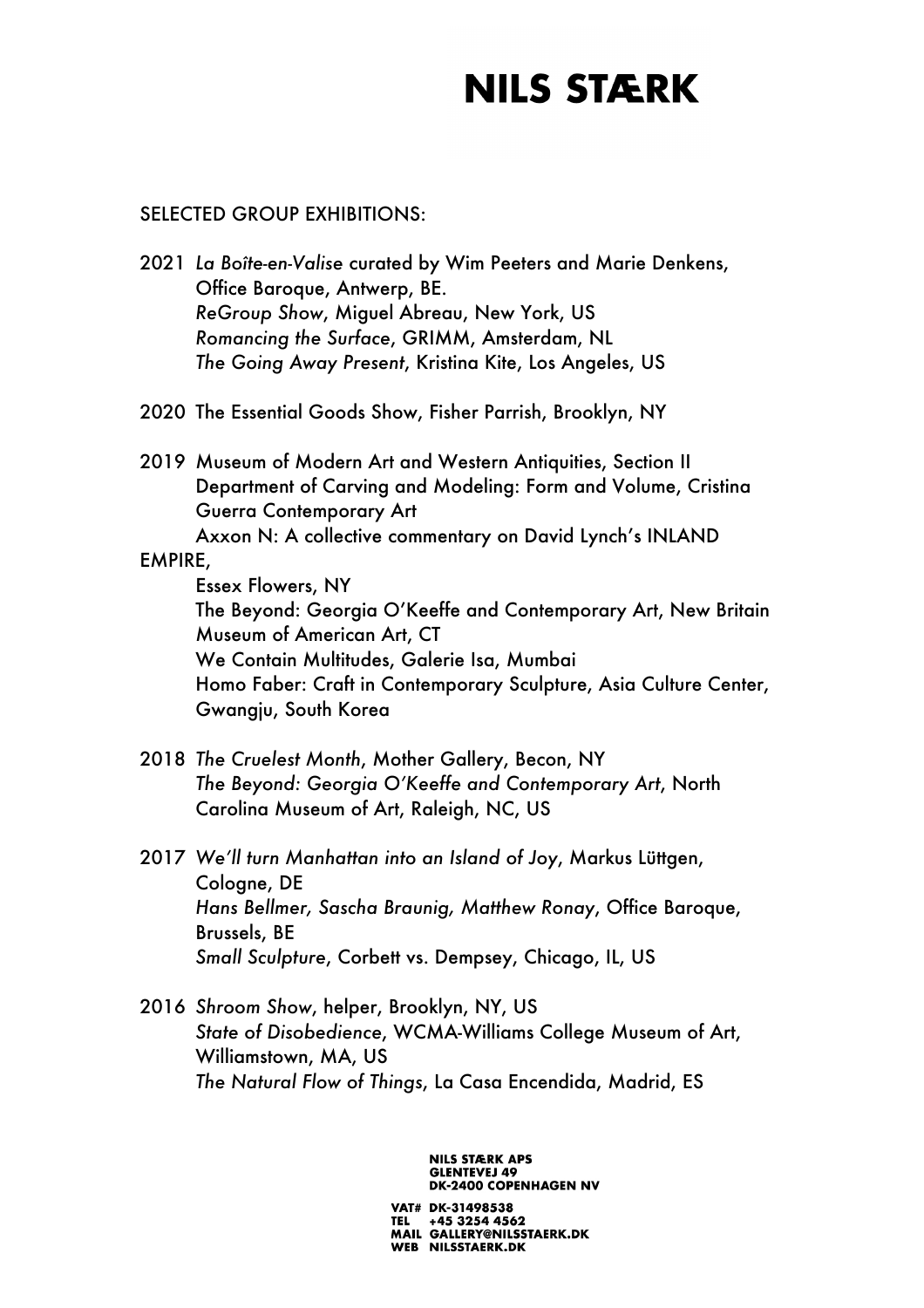#### SELECTED GROUP EXHIBITIONS:

- 2021 *La Boîte-en-Valise* curated by Wim Peeters and Marie Denkens, Office Baroque, Antwerp, BE. *ReGroup Show*, Miguel Abreau, New York, US *Romancing the Surface*, GRIMM, Amsterdam, NL *The Going Away Present*, Kristina Kite, Los Angeles, US
- 2020 The Essential Goods Show, Fisher Parrish, Brooklyn, NY
- 2019 Museum of Modern Art and Western Antiquities, Section II Department of Carving and Modeling: Form and Volume, Cristina Guerra Contemporary Art Axxon N: A collective commentary on David Lynch's INLAND

#### EMPIRE,

Essex Flowers, NY The Beyond: Georgia O'Keeffe and Contemporary Art, New Britain Museum of American Art, CT We Contain Multitudes, Galerie Isa, Mumbai Homo Faber: Craft in Contemporary Sculpture, Asia Culture Center, Gwangju, South Korea

- 2018 *The Cruelest Month*, Mother Gallery, Becon, NY *The Beyond: Georgia O'Keeffe and Contemporary Art*, North Carolina Museum of Art, Raleigh, NC, US
- 2017 *We'll turn Manhattan into an Island of Joy*, Markus Lüttgen, Cologne, DE *Hans Bellmer, Sascha Braunig, Matthew Ronay*, Office Baroque, Brussels, BE *Small Sculpture*, Corbett vs. Dempsey, Chicago, IL, US
- 2016 *Shroom Show*, helper, Brooklyn, NY, US *State of Disobedience*, WCMA-Williams College Museum of Art, Williamstown, MA, US *The Natural Flow of Things*, La Casa Encendida, Madrid, ES

#### **NILS STÆRK APS GLENTEVEJ 49 DK-2400 COPENHAGEN NV**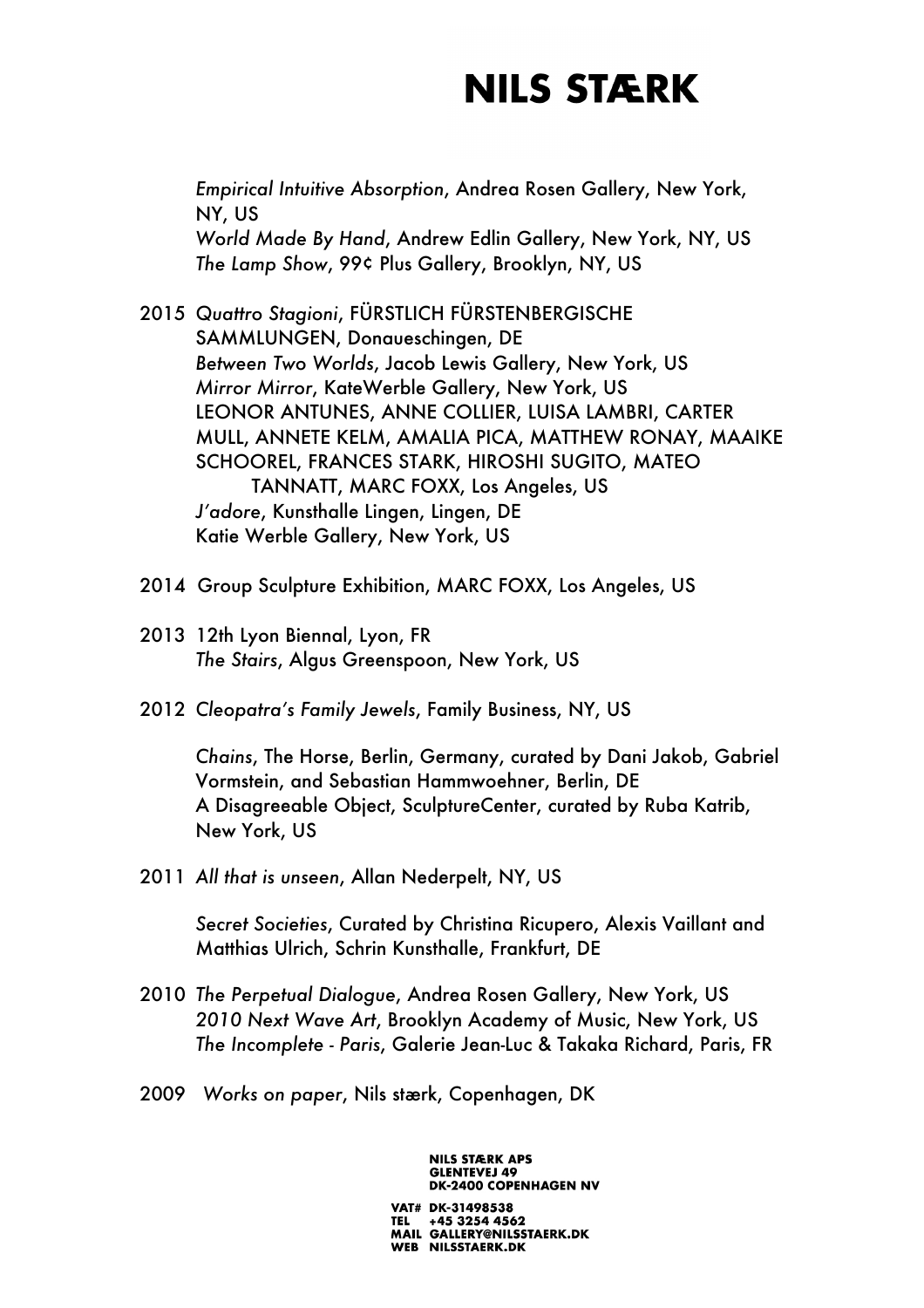*Empirical Intuitive Absorption*, Andrea Rosen Gallery, New York, NY, US *World Made By Hand*, Andrew Edlin Gallery, New York, NY, US *The Lamp Show*, 99¢ Plus Gallery, Brooklyn, NY, US

- 2015 *Quattro Stagioni*, FÜRSTLICH FÜRSTENBERGISCHE SAMMLUNGEN, Donaueschingen, DE *Between Two Worlds*, Jacob Lewis Gallery, New York, US *Mirror Mirror*, KateWerble Gallery, New York, US LEONOR ANTUNES, ANNE COLLIER, LUISA LAMBRI, CARTER MULL, ANNETE KELM, AMALIA PICA, MATTHEW RONAY, MAAIKE SCHOOREL, FRANCES STARK, HIROSHI SUGITO, MATEO TANNATT, MARC FOXX, Los Angeles, US *J'adore*, Kunsthalle Lingen, Lingen, DE Katie Werble Gallery, New York, US
- 2014 Group Sculpture Exhibition, MARC FOXX, Los Angeles, US
- 2013 12th Lyon Biennal, Lyon, FR *The Stairs*, Algus Greenspoon, New York, US
- 2012 *Cleopatra's Family Jewels*, Family Business, NY, US

*Chains*, The Horse, Berlin, Germany, curated by Dani Jakob, Gabriel Vormstein, and Sebastian Hammwoehner, Berlin, DE A Disagreeable Object, SculptureCenter, curated by Ruba Katrib, New York, US

2011 *All that is unseen*, Allan Nederpelt, NY, US

*Secret Societies*, Curated by Christina Ricupero, Alexis Vaillant and Matthias Ulrich, Schrin Kunsthalle, Frankfurt, DE

2010 *The Perpetual Dialogue*, Andrea Rosen Gallery, New York, US *2010 Next Wave Art*, Brooklyn Academy of Music, New York, US *The Incomplete - Paris*, Galerie Jean-Luc & Takaka Richard, Paris, FR

WEB NILSSTAERK.DK

2009 *Works on paper*, Nils stærk, Copenhagen, DK

**NILS STÆRK APS GLENTEVEJ 49 DK-2400 COPENHAGEN NV** VAT# DK-31498538 TEL +45 3254 4562<br>MAIL GALLERY@NILSSTAERK.DK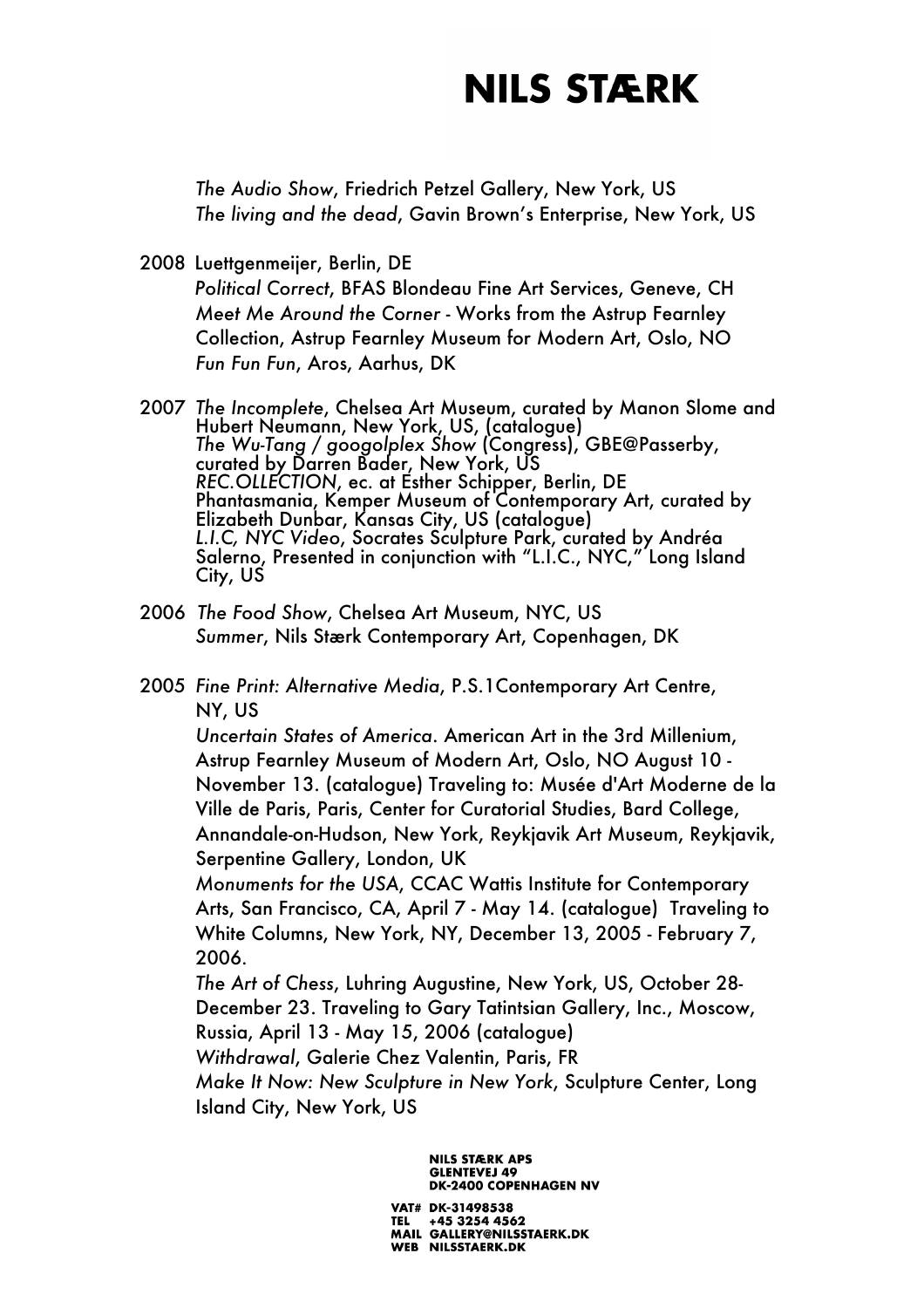*The Audio Show*, Friedrich Petzel Gallery, New York, US *The living and the dead*, Gavin Brown's Enterprise, New York, US

2008 Luettgenmeijer, Berlin, DE

*Political Correct*, BFAS Blondeau Fine Art Services, Geneve, CH *Meet Me Around the Corner* - Works from the Astrup Fearnley Collection, Astrup Fearnley Museum for Modern Art, Oslo, NO *Fun Fun Fun*, Aros, Aarhus, DK

2007 *The Incomplete*, Chelsea Art Museum, curated by Manon Slome and Hubert Neumann, New York, US, (catalogue) *The Wu-Tang / googolplex Show* (Congress), GBE@Passerby, curated by Darren Bader, New York, US *REC.OLLECTION*, ec. at Esther Schipper, Berlin, DE Phantasmania, Kemper Museum of Contemporary Art, curated by Elizabeth Dunbar, Kansas City, US (catalogue) *L.I.C, NYC Video*, Socrates Sculpture Park, curated by Andréa Salerno, Presented in conjunction with "L.I.C., NYC," Long Island City, US

- 2006 *The Food Show*, Chelsea Art Museum, NYC, US *Summer*, Nils Stærk Contemporary Art, Copenhagen, DK
- 2005 *Fine Print: Alternative Media*, P.S.1Contemporary Art Centre, NY, US

*Uncertain States of America*. American Art in the 3rd Millenium, Astrup Fearnley Museum of Modern Art, Oslo, NO August 10 - November 13. (catalogue) Traveling to: Musée d'Art Moderne de la Ville de Paris, Paris, Center for Curatorial Studies, Bard College, Annandale-on-Hudson, New York, Reykjavik Art Museum, Reykjavik, Serpentine Gallery, London, UK

*Monuments for the USA*, CCAC Wattis Institute for Contemporary Arts, San Francisco, CA, April 7 - May 14. (catalogue) Traveling to White Columns, New York, NY, December 13, 2005 - February 7, 2006.

*The Art of Chess*, Luhring Augustine, New York, US, October 28- December 23. Traveling to Gary Tatintsian Gallery, Inc., Moscow, Russia, April 13 - May 15, 2006 (catalogue)

*Withdrawal*, Galerie Chez Valentin, Paris, FR

*Make It Now: New Sculpture in New York*, Sculpture Center, Long Island City, New York, US

> **NILS STÆRK APS GLENTEVEJ 49 DK-2400 COPENHAGEN NV**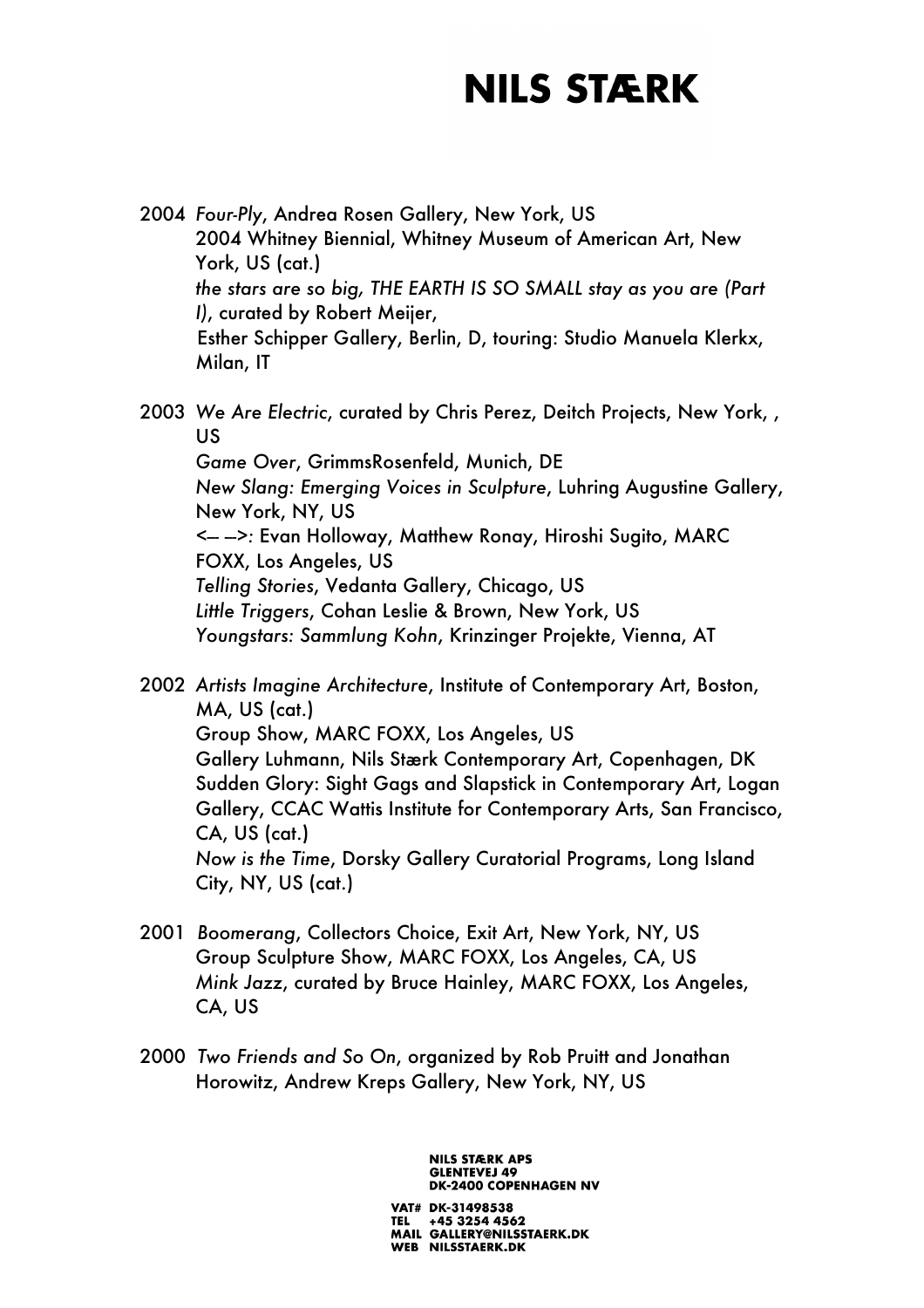- 2004 *Four-Ply*, Andrea Rosen Gallery, New York, US 2004 Whitney Biennial, Whitney Museum of American Art, New York, US (cat.) *the stars are so big, THE EARTH IS SO SMALL stay as you are (Part I)*, curated by Robert Meijer, Esther Schipper Gallery, Berlin, D, touring: Studio Manuela Klerkx, Milan, IT
- 2003 *We Are Electric*, curated by Chris Perez, Deitch Projects, New York, , US *Game Over*, GrimmsRosenfeld, Munich, DE *New Slang: Emerging Voices in Sculpture*, Luhring Augustine Gallery, New York, NY, US *<--- --->:* Evan Holloway, Matthew Ronay, Hiroshi Sugito, MARC FOXX, Los Angeles, US *Telling Stories*, Vedanta Gallery, Chicago, US *Little Triggers*, Cohan Leslie & Brown, New York, US *Youngstars: Sammlung Kohn*, Krinzinger Projekte, Vienna, AT
- 2002 *Artists Imagine Architecture*, Institute of Contemporary Art, Boston, MA, US (cat.) Group Show, MARC FOXX, Los Angeles, US Gallery Luhmann, Nils Stærk Contemporary Art, Copenhagen, DK Sudden Glory: Sight Gags and Slapstick in Contemporary Art, Logan Gallery, CCAC Wattis Institute for Contemporary Arts, San Francisco, CA, US (cat.) *Now is the Time*, Dorsky Gallery Curatorial Programs, Long Island City, NY, US (cat.)
- 2001 *Boomerang*, Collectors Choice, Exit Art, New York, NY, US Group Sculpture Show, MARC FOXX, Los Angeles, CA, US *Mink Jazz*, curated by Bruce Hainley, MARC FOXX, Los Angeles, CA, US
- 2000 *Two Friends and So On*, organized by Rob Pruitt and Jonathan Horowitz, Andrew Kreps Gallery, New York, NY, US

**NILS STÆRK APS GLENTEVEJ 49 DK-2400 COPENHAGEN NV** VAT# DK-31498538

TEL +45 3254 4562<br>MAIL GALLERY@NILSSTAERK.DK WEB NILSSTAERK.DK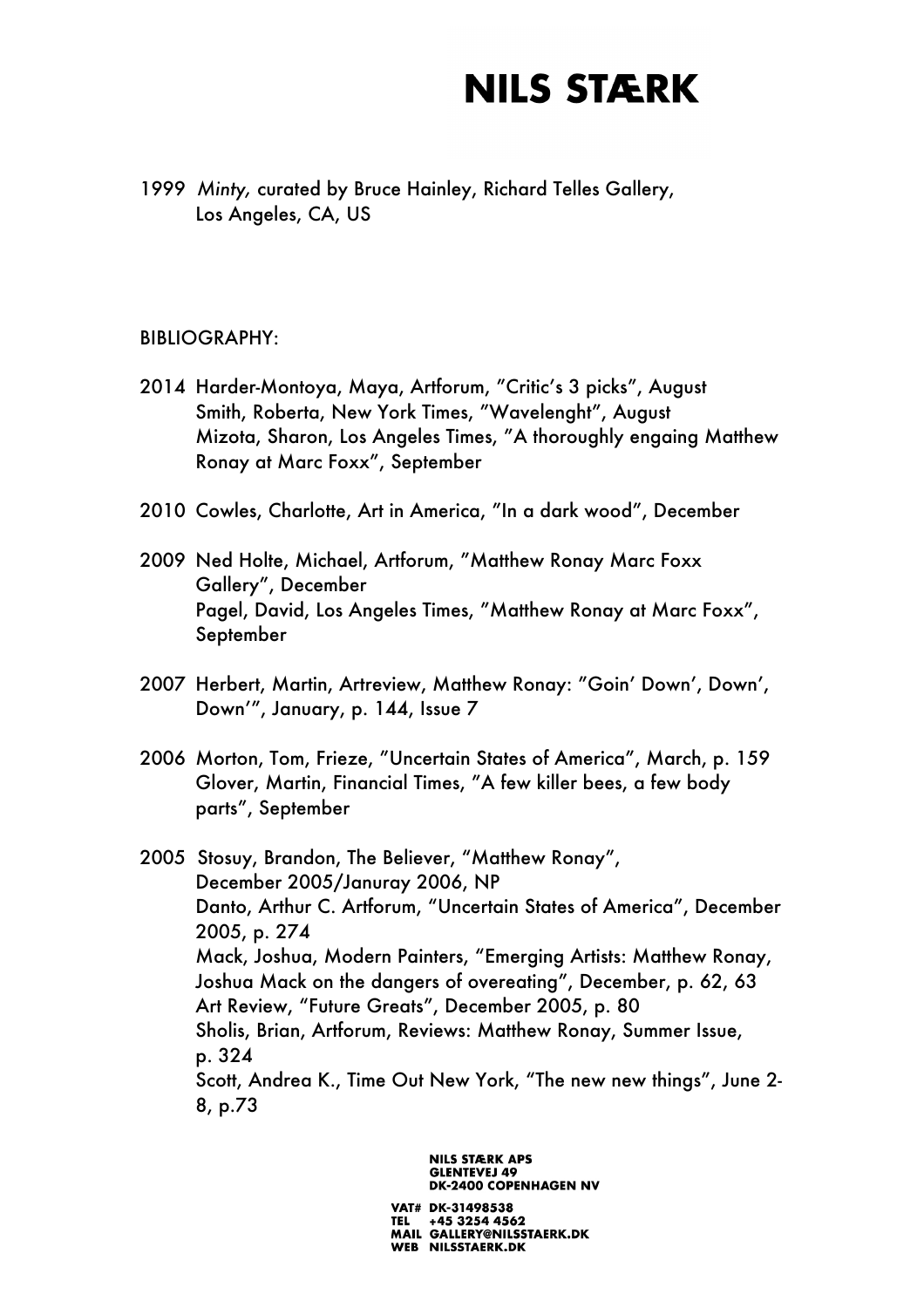1999 *Minty,* curated by Bruce Hainley, Richard Telles Gallery, Los Angeles, CA, US

#### BIBLIOGRAPHY:

- 2014 Harder-Montoya, Maya, Artforum, "Critic's 3 picks", August Smith, Roberta, New York Times, "Wavelenght", August Mizota, Sharon, Los Angeles Times, "A thoroughly engaing Matthew Ronay at Marc Foxx", September
- 2010 Cowles, Charlotte, Art in America, "In a dark wood", December
- 2009 Ned Holte, Michael, Artforum, "Matthew Ronay Marc Foxx Gallery", December Pagel, David, Los Angeles Times, "Matthew Ronay at Marc Foxx", September
- 2007 Herbert, Martin, Artreview, Matthew Ronay: "Goin' Down', Down', Down'", January, p. 144, Issue 7
- 2006 Morton, Tom, Frieze, "Uncertain States of America", March, p. 159 Glover, Martin, Financial Times, "A few killer bees, a few body parts", September

2005 Stosuy, Brandon, The Believer, "Matthew Ronay", December 2005/Januray 2006, NP Danto, Arthur C. Artforum, "Uncertain States of America", December 2005, p. 274 Mack, Joshua, Modern Painters, "Emerging Artists: Matthew Ronay, Joshua Mack on the dangers of overeating", December, p. 62, 63 Art Review, "Future Greats", December 2005, p. 80 Sholis, Brian, Artforum, Reviews: Matthew Ronay, Summer Issue, p. 324 Scott, Andrea K., Time Out New York, "The new new things", June 2- 8, p.73

> **NILS STÆRK APS GLENTEVEJ 49 DK-2400 COPENHAGEN NV**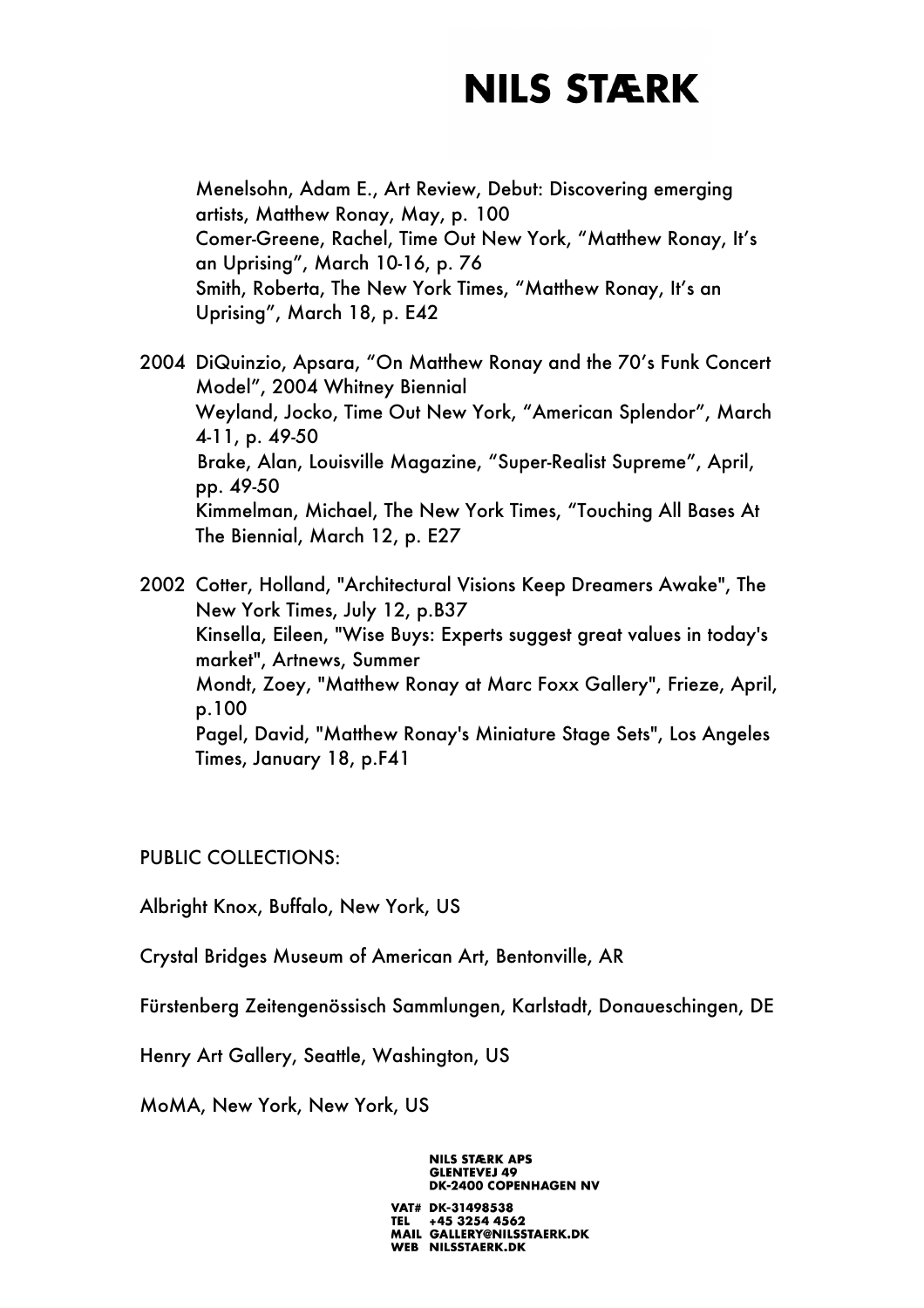Menelsohn, Adam E., Art Review, Debut: Discovering emerging artists, Matthew Ronay, May, p. 100 Comer-Greene, Rachel, Time Out New York, "Matthew Ronay, It's an Uprising", March 10-16, p. 76 Smith, Roberta, The New York Times, "Matthew Ronay, It's an Uprising", March 18, p. E42

2004 DiQuinzio, Apsara, "On Matthew Ronay and the 70's Funk Concert Model", 2004 Whitney Biennial Weyland, Jocko, Time Out New York, "American Splendor", March 4-11, p. 49-50 Brake, Alan, Louisville Magazine, "Super-Realist Supreme", April, pp. 49-50 Kimmelman, Michael, The New York Times, "Touching All Bases At The Biennial, March 12, p. E27

2002 Cotter, Holland, "Architectural Visions Keep Dreamers Awake", The New York Times, July 12, p.B37 Kinsella, Eileen, "Wise Buys: Experts suggest great values in today's market", Artnews, Summer Mondt, Zoey, "Matthew Ronay at Marc Foxx Gallery", Frieze, April, p.100 Pagel, David, "Matthew Ronay's Miniature Stage Sets", Los Angeles Times, January 18, p.F41

PUBLIC COLLECTIONS:

Albright Knox, Buffalo, New York, US

Crystal Bridges Museum of American Art, Bentonville, AR

Fürstenberg Zeitengenössisch Sammlungen, Karlstadt, Donaueschingen, DE

Henry Art Gallery, Seattle, Washington, US

MoMA, New York, New York, US

**GLENTEVEJ 49 DK-2400 COPENHAGEN NV** VAT# DK-31498538 +45 3254 4562 MAIL GALLERY@NILSSTAERK.DK WEB NILSSTAERK.DK

**NILS STÆRK APS**